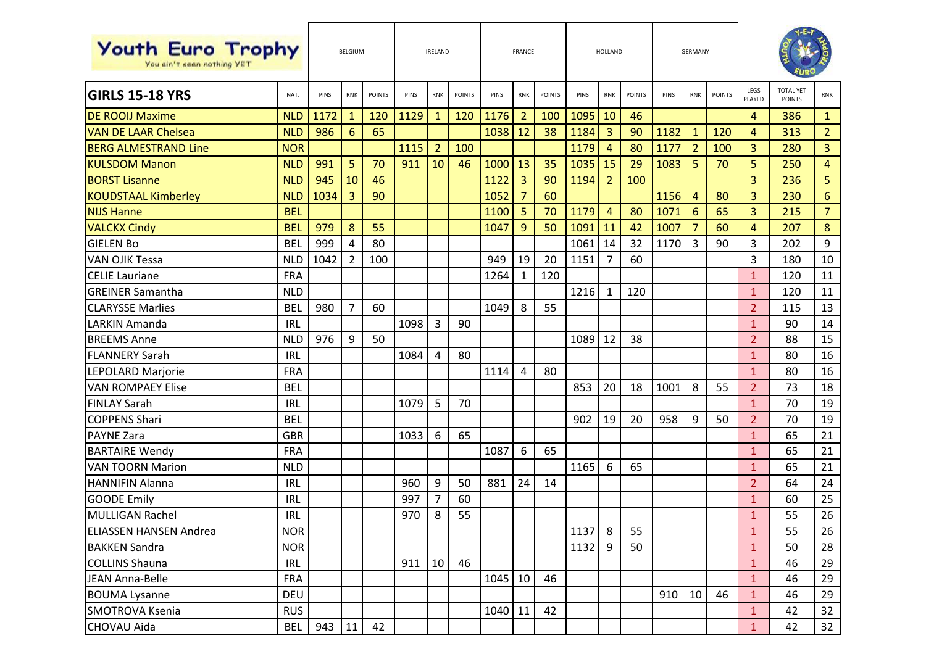| <b>Youth Euro Trophy</b><br>You ain't seen nothing YET |            | <b>BELGIUM</b> |                | <b>IRELAND</b> |      |                | <b>FRANCE</b> |         |                | HOLLAND       |      |                | <b>GERMANY</b> |      |                 |               |                |                                   |                |
|--------------------------------------------------------|------------|----------------|----------------|----------------|------|----------------|---------------|---------|----------------|---------------|------|----------------|----------------|------|-----------------|---------------|----------------|-----------------------------------|----------------|
| <b>GIRLS 15-18 YRS</b>                                 | NAT.       | PINS           | <b>RNK</b>     | <b>POINTS</b>  | PINS | <b>RNK</b>     | <b>POINTS</b> | PINS    | <b>RNK</b>     | <b>POINTS</b> | PINS | <b>RNK</b>     | <b>POINTS</b>  | PINS | <b>RNK</b>      | <b>POINTS</b> | LEGS<br>PLAYED | <b>TOTAL YET</b><br><b>POINTS</b> | <b>RNK</b>     |
| <b>DE ROOIJ Maxime</b>                                 | <b>NLD</b> | 1172           | $\mathbf{1}$   | 120            | 1129 | $\mathbf{1}$   | 120           | 1176    | $\overline{2}$ | 100           | 1095 | 10             | 46             |      |                 |               | $\overline{4}$ | 386                               | $\mathbf{1}$   |
| <b>VAN DE LAAR Chelsea</b>                             | <b>NLD</b> | 986            | 6              | 65             |      |                |               | 1038    | 12             | 38            | 1184 | 3              | 90             | 1182 | $\mathbf{1}$    | 120           | $\overline{4}$ | 313                               | $\overline{2}$ |
| <b>BERG ALMESTRAND Line</b>                            | <b>NOR</b> |                |                |                | 1115 | 2              | 100           |         |                |               | 1179 | $\overline{4}$ | 80             | 1177 | $\overline{2}$  | 100           | 3              | 280                               | 3              |
| <b>KULSDOM Manon</b>                                   | <b>NLD</b> | 991            | 5              | 70             | 911  | 10             | 46            | 1000    | 13             | 35            | 1035 | 15             | 29             | 1083 | 5               | 70            | 5              | 250                               | $\overline{4}$ |
| <b>BORST Lisanne</b>                                   | <b>NLD</b> | 945            | 10             | 46             |      |                |               | 1122    | $\overline{3}$ | 90            | 1194 | $\overline{2}$ | 100            |      |                 |               | 3              | 236                               | 5              |
| <b>KOUDSTAAL Kimberley</b>                             | <b>NLD</b> | 1034           | 3              | 90             |      |                |               | 1052    | $\overline{7}$ | 60            |      |                |                | 1156 | $\overline{4}$  | 80            | $\overline{3}$ | 230                               | $6\phantom{1}$ |
| <b>NIJS Hanne</b>                                      | <b>BEL</b> |                |                |                |      |                |               | 1100    | 5              | 70            | 1179 | $\overline{4}$ | 80             | 1071 | $6\phantom{1}6$ | 65            | 3              | 215                               | $\overline{7}$ |
| <b>VALCKX Cindy</b>                                    | <b>BEL</b> | 979            | 8              | 55             |      |                |               | 1047    | 9              | 50            | 1091 | 11             | 42             | 1007 | $\overline{7}$  | 60            | $\overline{4}$ | 207                               | 8              |
| <b>GIELEN Bo</b>                                       | <b>BEL</b> | 999            | 4              | 80             |      |                |               |         |                |               | 1061 | 14             | 32             | 1170 | 3               | 90            | $\overline{3}$ | 202                               | 9              |
| <b>VAN OJIK Tessa</b>                                  | <b>NLD</b> | 1042           | $\overline{2}$ | 100            |      |                |               | 949     | 19             | 20            | 1151 | 7              | 60             |      |                 |               | 3              | 180                               | 10             |
| <b>CELIE Lauriane</b>                                  | <b>FRA</b> |                |                |                |      |                |               | 1264    | $\mathbf{1}$   | 120           |      |                |                |      |                 |               | $\mathbf{1}$   | 120                               | 11             |
| <b>GREINER Samantha</b>                                | <b>NLD</b> |                |                |                |      |                |               |         |                |               | 1216 | 1              | 120            |      |                 |               | $\mathbf{1}$   | 120                               | 11             |
| <b>CLARYSSE Marlies</b>                                | <b>BEL</b> | 980            | $\overline{7}$ | 60             |      |                |               | 1049    | 8              | 55            |      |                |                |      |                 |               | $\overline{2}$ | 115                               | 13             |
| LARKIN Amanda                                          | <b>IRL</b> |                |                |                | 1098 | 3              | 90            |         |                |               |      |                |                |      |                 |               | $\mathbf{1}$   | 90                                | 14             |
| <b>BREEMS Anne</b>                                     | <b>NLD</b> | 976            | 9              | 50             |      |                |               |         |                |               | 1089 | 12             | 38             |      |                 |               | $\overline{2}$ | 88                                | 15             |
| <b>FLANNERY Sarah</b>                                  | <b>IRL</b> |                |                |                | 1084 | 4              | 80            |         |                |               |      |                |                |      |                 |               | $\mathbf{1}$   | 80                                | 16             |
| LEPOLARD Marjorie                                      | <b>FRA</b> |                |                |                |      |                |               | 1114    | 4              | 80            |      |                |                |      |                 |               | $\mathbf{1}$   | 80                                | 16             |
| <b>VAN ROMPAEY Elise</b>                               | <b>BEL</b> |                |                |                |      |                |               |         |                |               | 853  | 20             | 18             | 1001 | 8               | 55            | $\overline{2}$ | 73                                | 18             |
| <b>FINLAY Sarah</b>                                    | <b>IRL</b> |                |                |                | 1079 | 5              | 70            |         |                |               |      |                |                |      |                 |               | $\mathbf{1}$   | 70                                | 19             |
| <b>COPPENS Shari</b>                                   | <b>BEL</b> |                |                |                |      |                |               |         |                |               | 902  | 19             | 20             | 958  | 9               | 50            | $\overline{2}$ | 70                                | 19             |
| <b>PAYNE Zara</b>                                      | <b>GBR</b> |                |                |                | 1033 | 6              | 65            |         |                |               |      |                |                |      |                 |               | $\mathbf{1}$   | 65                                | 21             |
| <b>BARTAIRE Wendy</b>                                  | <b>FRA</b> |                |                |                |      |                |               | 1087    | 6              | 65            |      |                |                |      |                 |               | $\mathbf{1}$   | 65                                | 21             |
| <b>VAN TOORN Marion</b>                                | <b>NLD</b> |                |                |                |      |                |               |         |                |               | 1165 | 6              | 65             |      |                 |               | $\mathbf{1}$   | 65                                | 21             |
| <b>HANNIFIN Alanna</b>                                 | <b>IRL</b> |                |                |                | 960  | 9              | 50            | 881     | 24             | 14            |      |                |                |      |                 |               | $\overline{2}$ | 64                                | 24             |
| <b>GOODE Emily</b>                                     | <b>IRL</b> |                |                |                | 997  | $\overline{7}$ | 60            |         |                |               |      |                |                |      |                 |               | $\mathbf{1}$   | 60                                | 25             |
| <b>MULLIGAN Rachel</b>                                 | <b>IRL</b> |                |                |                | 970  | 8              | 55            |         |                |               |      |                |                |      |                 |               | $\mathbf{1}$   | 55                                | 26             |
| <b>ELIASSEN HANSEN Andrea</b>                          | <b>NOR</b> |                |                |                |      |                |               |         |                |               | 1137 | 8              | 55             |      |                 |               | $\mathbf{1}$   | 55                                | 26             |
| <b>BAKKEN Sandra</b>                                   | <b>NOR</b> |                |                |                |      |                |               |         |                |               | 1132 | 9              | 50             |      |                 |               | $\mathbf{1}$   | 50                                | 28             |
| <b>COLLINS Shauna</b>                                  | <b>IRL</b> |                |                |                | 911  | 10             | 46            |         |                |               |      |                |                |      |                 |               | $\mathbf{1}$   | 46                                | 29             |
| JEAN Anna-Belle                                        | <b>FRA</b> |                |                |                |      |                |               | 1045    | 10             | 46            |      |                |                |      |                 |               | $\mathbf{1}$   | 46                                | 29             |
| <b>BOUMA Lysanne</b>                                   | <b>DEU</b> |                |                |                |      |                |               |         |                |               |      |                |                | 910  | 10              | 46            | $\mathbf{1}$   | 46                                | 29             |
| SMOTROVA Ksenia                                        | <b>RUS</b> |                |                |                |      |                |               | 1040 11 |                | 42            |      |                |                |      |                 |               | $\mathbf{1}$   | 42                                | 32             |
| CHOVAU Aida                                            | <b>BEL</b> | 943            | 11             | 42             |      |                |               |         |                |               |      |                |                |      |                 |               | $1\,$          | 42                                | 32             |